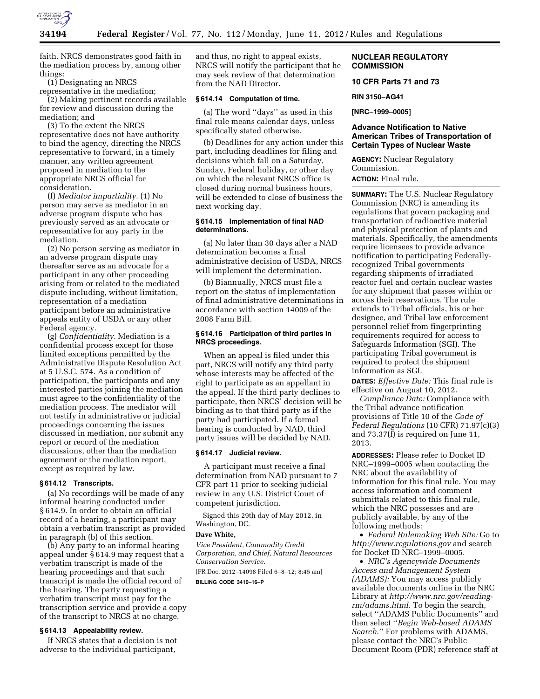

faith. NRCS demonstrates good faith in the mediation process by, among other things:

(1) Designating an NRCS

representative in the mediation; (2) Making pertinent records available for review and discussion during the

mediation; and (3) To the extent the NRCS representative does not have authority to bind the agency, directing the NRCS representative to forward, in a timely manner, any written agreement proposed in mediation to the appropriate NRCS official for consideration.

(f) *Mediator impartiality.* (1) No person may serve as mediator in an adverse program dispute who has previously served as an advocate or representative for any party in the mediation.

(2) No person serving as mediator in an adverse program dispute may thereafter serve as an advocate for a participant in any other proceeding arising from or related to the mediated dispute including, without limitation, representation of a mediation participant before an administrative appeals entity of USDA or any other Federal agency.

(g) *Confidentiality.* Mediation is a confidential process except for those limited exceptions permitted by the Administrative Dispute Resolution Act at 5 U.S.C. 574. As a condition of participation, the participants and any interested parties joining the mediation must agree to the confidentiality of the mediation process. The mediator will not testify in administrative or judicial proceedings concerning the issues discussed in mediation, nor submit any report or record of the mediation discussions, other than the mediation agreement or the mediation report, except as required by law.

#### **§ 614.12 Transcripts.**

(a) No recordings will be made of any informal hearing conducted under § 614.9. In order to obtain an official record of a hearing, a participant may obtain a verbatim transcript as provided in paragraph (b) of this section.

(b) Any party to an informal hearing appeal under § 614.9 may request that a verbatim transcript is made of the hearing proceedings and that such transcript is made the official record of the hearing. The party requesting a verbatim transcript must pay for the transcription service and provide a copy of the transcript to NRCS at no charge.

# **§ 614.13 Appealability review.**

If NRCS states that a decision is not adverse to the individual participant,

and thus, no right to appeal exists, NRCS will notify the participant that he may seek review of that determination from the NAD Director.

#### **§ 614.14 Computation of time.**

(a) The word ''days'' as used in this final rule means calendar days, unless specifically stated otherwise.

(b) Deadlines for any action under this part, including deadlines for filing and decisions which fall on a Saturday, Sunday, Federal holiday, or other day on which the relevant NRCS office is closed during normal business hours, will be extended to close of business the next working day.

## **§ 614.15 Implementation of final NAD determinations.**

(a) No later than 30 days after a NAD determination becomes a final administrative decision of USDA, NRCS will implement the determination.

(b) Biannually, NRCS must file a report on the status of implementation of final administrative determinations in accordance with section 14009 of the 2008 Farm Bill.

## **§ 614.16 Participation of third parties in NRCS proceedings.**

When an appeal is filed under this part, NRCS will notify any third party whose interests may be affected of the right to participate as an appellant in the appeal. If the third party declines to participate, then NRCS' decision will be binding as to that third party as if the party had participated. If a formal hearing is conducted by NAD, third party issues will be decided by NAD.

## **§ 614.17 Judicial review.**

A participant must receive a final determination from NAD pursuant to 7 CFR part 11 prior to seeking judicial review in any U.S. District Court of competent jurisdiction.

Signed this 29th day of May 2012, in Washington, DC.

# **Dave White,**

*Vice President, Commodity Credit Corporation, and Chief, Natural Resources Conservation Service.* 

[FR Doc. 2012–14098 Filed 6–8–12; 8:45 am] **BILLING CODE 3410–16–P** 

## **NUCLEAR REGULATORY COMMISSION**

# **10 CFR Parts 71 and 73**

**RIN 3150–AG41** 

**[NRC–1999–0005]** 

# **Advance Notification to Native American Tribes of Transportation of Certain Types of Nuclear Waste**

**AGENCY:** Nuclear Regulatory Commission.

**ACTION:** Final rule.

**SUMMARY:** The U.S. Nuclear Regulatory Commission (NRC) is amending its regulations that govern packaging and transportation of radioactive material and physical protection of plants and materials. Specifically, the amendments require licensees to provide advance notification to participating Federallyrecognized Tribal governments regarding shipments of irradiated reactor fuel and certain nuclear wastes for any shipment that passes within or across their reservations. The rule extends to Tribal officials, his or her designee, and Tribal law enforcement personnel relief from fingerprinting requirements required for access to Safeguards Information (SGI). The participating Tribal government is required to protect the shipment information as SGI.

**DATES:** *Effective Date:* This final rule is effective on August 10, 2012.

*Compliance Date:* Compliance with the Tribal advance notification provisions of Title 10 of the *Code of Federal Regulations* (10 CFR) 71.97(c)(3) and 73.37(f) is required on June 11, 2013.

**ADDRESSES:** Please refer to Docket ID NRC–1999–0005 when contacting the NRC about the availability of information for this final rule. You may access information and comment submittals related to this final rule, which the NRC possesses and are publicly available, by any of the following methods:

• *Federal Rulemaking Web Site:* Go to *<http://www.regulations.gov>* and search for Docket ID NRC–1999–0005.

• *NRC's Agencywide Documents Access and Management System (ADAMS):* You may access publicly available documents online in the NRC Library at *[http://www.nrc.gov/reading](http://www.nrc.gov/reading-rm/adams.html)[rm/adams.html.](http://www.nrc.gov/reading-rm/adams.html)* To begin the search, select ''ADAMS Public Documents'' and then select ''*Begin Web-based ADAMS Search*.'' For problems with ADAMS, please contact the NRC's Public Document Room (PDR) reference staff at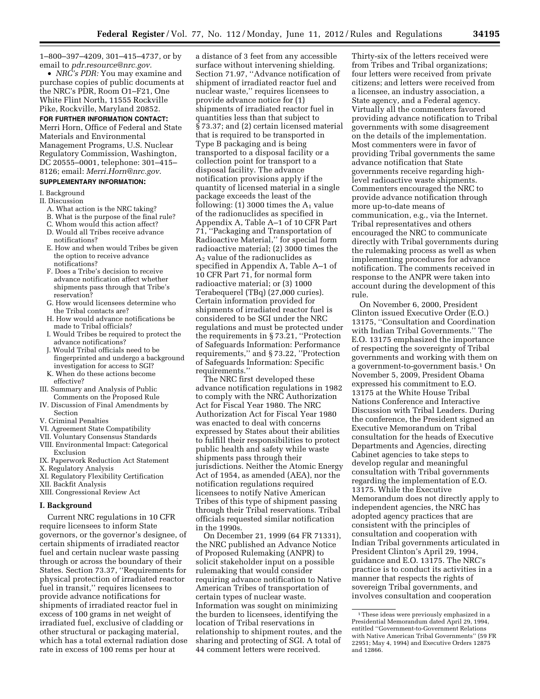1–800–397–4209, 301–415–4737, or by email to *[pdr.resource@nrc.gov.](mailto:pdr.resource@nrc.gov)* 

• *NRC's PDR:* You may examine and purchase copies of public documents at the NRC's PDR, Room O1–F21, One White Flint North, 11555 Rockville Pike, Rockville, Maryland 20852.

## **FOR FURTHER INFORMATION CONTACT:**

Merri Horn, Office of Federal and State Materials and Environmental Management Programs, U.S. Nuclear Regulatory Commission, Washington, DC 20555–0001, telephone: 301–415– 8126; email: *[Merri.Horn@nrc.gov](mailto:Merri.Horn@nrc.gov)*.

# **SUPPLEMENTARY INFORMATION:**

I. Background

- II. Discussion
	- A. What action is the NRC taking?
	- B. What is the purpose of the final rule?
	- C. Whom would this action affect? D. Would all Tribes receive advance notifications?
	- E. How and when would Tribes be given the option to receive advance notifications?
	- F. Does a Tribe's decision to receive advance notification affect whether shipments pass through that Tribe's reservation?
	- G. How would licensees determine who the Tribal contacts are?
	- H. How would advance notifications be made to Tribal officials?
	- I. Would Tribes be required to protect the advance notifications?
	- J. Would Tribal officials need to be fingerprinted and undergo a background investigation for access to SGI?
	- K. When do these actions become
- effective? III. Summary and Analysis of Public
- Comments on the Proposed Rule IV. Discussion of Final Amendments by
- Section V. Criminal Penalties
- VI. Agreement State Compatibility
- VII. Voluntary Consensus Standards
- VIII. Environmental Impact: Categorical
- Exclusion IX. Paperwork Reduction Act Statement
- X. Regulatory Analysis
- XI. Regulatory Flexibility Certification
- XII. Backfit Analysis
- XIII. Congressional Review Act

# **I. Background**

Current NRC regulations in 10 CFR require licensees to inform State governors, or the governor's designee, of certain shipments of irradiated reactor fuel and certain nuclear waste passing through or across the boundary of their States. Section 73.37, ''Requirements for physical protection of irradiated reactor fuel in transit,'' requires licensees to provide advance notifications for shipments of irradiated reactor fuel in excess of 100 grams in net weight of irradiated fuel, exclusive of cladding or other structural or packaging material, which has a total external radiation dose rate in excess of 100 rems per hour at

a distance of 3 feet from any accessible surface without intervening shielding. Section 71.97, ''Advance notification of shipment of irradiated reactor fuel and nuclear waste,'' requires licensees to provide advance notice for (1) shipments of irradiated reactor fuel in quantities less than that subject to § 73.37; and (2) certain licensed material that is required to be transported in Type B packaging and is being transported to a disposal facility or a collection point for transport to a disposal facility. The advance notification provisions apply if the quantity of licensed material in a single package exceeds the least of the following: (1) 3000 times the  $A_1$  value of the radionuclides as specified in Appendix A, Table A–1 of 10 CFR Part 71, ''Packaging and Transportation of Radioactive Material,'' for special form radioactive material; (2) 3000 times the A2 value of the radionuclides as specified in Appendix A, Table A–1 of 10 CFR Part 71, for normal form radioactive material; or (3) 1000 Terabequerel (TBq) (27,000 curies). Certain information provided for shipments of irradiated reactor fuel is considered to be SGI under the NRC regulations and must be protected under the requirements in § 73.21, ''Protection of Safeguards Information: Performance requirements,'' and § 73.22, ''Protection of Safeguards Information: Specific requirements.''

The NRC first developed these advance notification regulations in 1982 to comply with the NRC Authorization Act for Fiscal Year 1980. The NRC Authorization Act for Fiscal Year 1980 was enacted to deal with concerns expressed by States about their abilities to fulfill their responsibilities to protect public health and safety while waste shipments pass through their jurisdictions. Neither the Atomic Energy Act of 1954, as amended (AEA), nor the notification regulations required licensees to notify Native American Tribes of this type of shipment passing through their Tribal reservations. Tribal officials requested similar notification in the 1990s.

On December 21, 1999 (64 FR 71331), the NRC published an Advance Notice of Proposed Rulemaking (ANPR) to solicit stakeholder input on a possible rulemaking that would consider requiring advance notification to Native American Tribes of transportation of certain types of nuclear waste. Information was sought on minimizing the burden to licensees, identifying the location of Tribal reservations in relationship to shipment routes, and the sharing and protecting of SGI. A total of 44 comment letters were received.

Thirty-six of the letters received were from Tribes and Tribal organizations; four letters were received from private citizens; and letters were received from a licensee, an industry association, a State agency, and a Federal agency. Virtually all the commenters favored providing advance notification to Tribal governments with some disagreement on the details of the implementation. Most commenters were in favor of providing Tribal governments the same advance notification that State governments receive regarding highlevel radioactive waste shipments. Commenters encouraged the NRC to provide advance notification through more up-to-date means of communication, e.g., via the Internet. Tribal representatives and others encouraged the NRC to communicate directly with Tribal governments during the rulemaking process as well as when implementing procedures for advance notification. The comments received in response to the ANPR were taken into account during the development of this rule.

On November 6, 2000, President Clinton issued Executive Order (E.O.) 13175, ''Consultation and Coordination with Indian Tribal Governments.'' The E.O. 13175 emphasized the importance of respecting the sovereignty of Tribal governments and working with them on a government-to-government basis.1 On November 5, 2009, President Obama expressed his commitment to E.O. 13175 at the White House Tribal Nations Conference and Interactive Discussion with Tribal Leaders. During the conference, the President signed an Executive Memorandum on Tribal consultation for the heads of Executive Departments and Agencies, directing Cabinet agencies to take steps to develop regular and meaningful consultation with Tribal governments regarding the implementation of E.O. 13175. While the Executive Memorandum does not directly apply to independent agencies, the NRC has adopted agency practices that are consistent with the principles of consultation and cooperation with Indian Tribal governments articulated in President Clinton's April 29, 1994, guidance and E.O. 13175. The NRC's practice is to conduct its activities in a manner that respects the rights of sovereign Tribal governments, and involves consultation and cooperation

<sup>&</sup>lt;sup>1</sup>These ideas were previously emphasized in a Presidential Memorandum dated April 29, 1994, entitled ''Government-to-Government Relations with Native American Tribal Governments'' (59 FR 22951; May 4, 1994) and Executive Orders 12875 and 12866.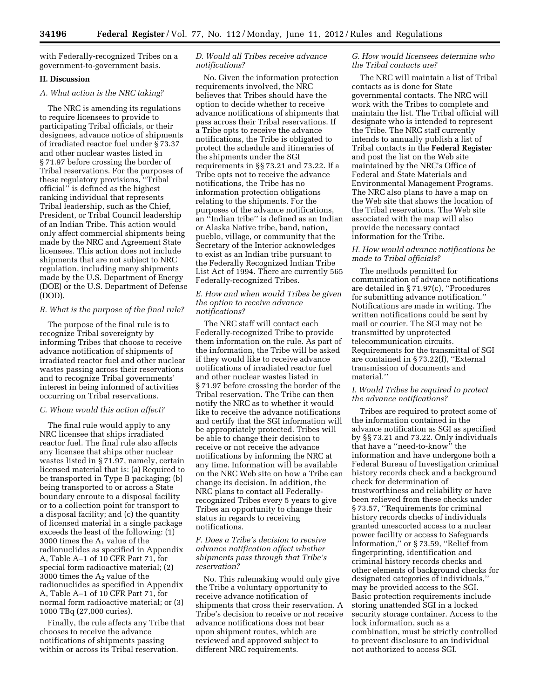with Federally-recognized Tribes on a government-to-government basis.

# **II. Discussion**

## *A. What action is the NRC taking?*

The NRC is amending its regulations to require licensees to provide to participating Tribal officials, or their designees, advance notice of shipments of irradiated reactor fuel under § 73.37 and other nuclear wastes listed in § 71.97 before crossing the border of Tribal reservations. For the purposes of these regulatory provisions, ''Tribal official'' is defined as the highest ranking individual that represents Tribal leadership, such as the Chief, President, or Tribal Council leadership of an Indian Tribe. This action would only affect commercial shipments being made by the NRC and Agreement State licensees. This action does not include shipments that are not subject to NRC regulation, including many shipments made by the U.S. Department of Energy (DOE) or the U.S. Department of Defense (DOD).

## *B. What is the purpose of the final rule?*

The purpose of the final rule is to recognize Tribal sovereignty by informing Tribes that choose to receive advance notification of shipments of irradiated reactor fuel and other nuclear wastes passing across their reservations and to recognize Tribal governments' interest in being informed of activities occurring on Tribal reservations.

## *C. Whom would this action affect?*

The final rule would apply to any NRC licensee that ships irradiated reactor fuel. The final rule also affects any licensee that ships other nuclear wastes listed in § 71.97, namely, certain licensed material that is: (a) Required to be transported in Type B packaging; (b) being transported to or across a State boundary enroute to a disposal facility or to a collection point for transport to a disposal facility; and (c) the quantity of licensed material in a single package exceeds the least of the following: (1) 3000 times the  $A_1$  value of the radionuclides as specified in Appendix A, Table A–1 of 10 CFR Part 71, for special form radioactive material; (2) 3000 times the  $A_2$  value of the radionuclides as specified in Appendix A, Table A–1 of 10 CFR Part 71, for normal form radioactive material; or (3) 1000 TBq (27,000 curies).

Finally, the rule affects any Tribe that chooses to receive the advance notifications of shipments passing within or across its Tribal reservation.

# *D. Would all Tribes receive advance notifications?*

No. Given the information protection requirements involved, the NRC believes that Tribes should have the option to decide whether to receive advance notifications of shipments that pass across their Tribal reservations. If a Tribe opts to receive the advance notifications, the Tribe is obligated to protect the schedule and itineraries of the shipments under the SGI requirements in §§ 73.21 and 73.22. If a Tribe opts not to receive the advance notifications, the Tribe has no information protection obligations relating to the shipments. For the purposes of the advance notifications, an ''Indian tribe'' is defined as an Indian or Alaska Native tribe, band, nation, pueblo, village, or community that the Secretary of the Interior acknowledges to exist as an Indian tribe pursuant to the Federally Recognized Indian Tribe List Act of 1994. There are currently 565 Federally-recognized Tribes.

# *E. How and when would Tribes be given the option to receive advance notifications?*

The NRC staff will contact each Federally-recognized Tribe to provide them information on the rule. As part of the information, the Tribe will be asked if they would like to receive advance notifications of irradiated reactor fuel and other nuclear wastes listed in § 71.97 before crossing the border of the Tribal reservation. The Tribe can then notify the NRC as to whether it would like to receive the advance notifications and certify that the SGI information will be appropriately protected. Tribes will be able to change their decision to receive or not receive the advance notifications by informing the NRC at any time. Information will be available on the NRC Web site on how a Tribe can change its decision. In addition, the NRC plans to contact all Federallyrecognized Tribes every 5 years to give Tribes an opportunity to change their status in regards to receiving notifications.

# *F. Does a Tribe's decision to receive advance notification affect whether shipments pass through that Tribe's reservation?*

No. This rulemaking would only give the Tribe a voluntary opportunity to receive advance notification of shipments that cross their reservation. A Tribe's decision to receive or not receive advance notifications does not bear upon shipment routes, which are reviewed and approved subject to different NRC requirements.

# *G. How would licensees determine who the Tribal contacts are?*

The NRC will maintain a list of Tribal contacts as is done for State governmental contacts. The NRC will work with the Tribes to complete and maintain the list. The Tribal official will designate who is intended to represent the Tribe. The NRC staff currently intends to annually publish a list of Tribal contacts in the **Federal Register**  and post the list on the Web site maintained by the NRC's Office of Federal and State Materials and Environmental Management Programs. The NRC also plans to have a map on the Web site that shows the location of the Tribal reservations. The Web site associated with the map will also provide the necessary contact information for the Tribe.

# *H. How would advance notifications be made to Tribal officials?*

The methods permitted for communication of advance notifications are detailed in § 71.97(c), ''Procedures for submitting advance notification.'' Notifications are made in writing. The written notifications could be sent by mail or courier. The SGI may not be transmitted by unprotected telecommunication circuits. Requirements for the transmittal of SGI are contained in § 73.22(f), ''External transmission of documents and material.''

# *I. Would Tribes be required to protect the advance notifications?*

Tribes are required to protect some of the information contained in the advance notification as SGI as specified by §§ 73.21 and 73.22. Only individuals that have a ''need-to-know'' the information and have undergone both a Federal Bureau of Investigation criminal history records check and a background check for determination of trustworthiness and reliability or have been relieved from these checks under § 73.57, ''Requirements for criminal history records checks of individuals granted unescorted access to a nuclear power facility or access to Safeguards Information,'' or § 73.59, ''Relief from fingerprinting, identification and criminal history records checks and other elements of background checks for designated categories of individuals,'' may be provided access to the SGI. Basic protection requirements include storing unattended SGI in a locked security storage container. Access to the lock information, such as a combination, must be strictly controlled to prevent disclosure to an individual not authorized to access SGI.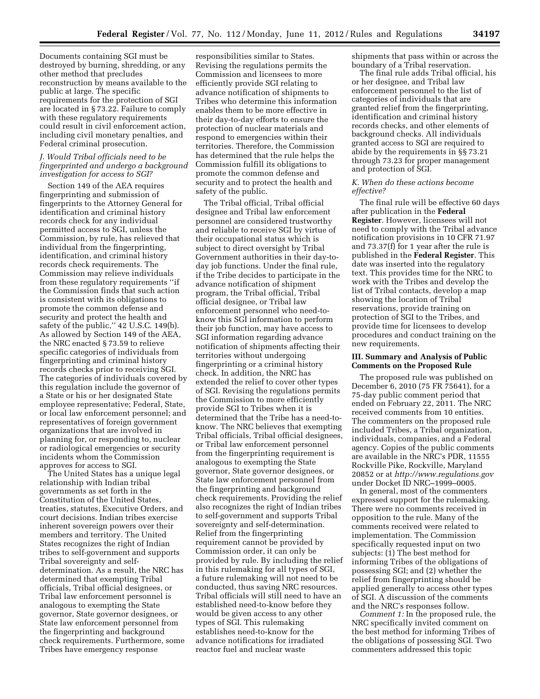Documents containing SGI must be destroyed by burning, shredding, or any other method that precludes reconstruction by means available to the public at large. The specific requirements for the protection of SGI are located in § 73.22. Failure to comply with these regulatory requirements could result in civil enforcement action, including civil monetary penalties, and Federal criminal prosecution.

## *J. Would Tribal officials need to be fingerprinted and undergo a background investigation for access to SGI?*

Section 149 of the AEA requires fingerprinting and submission of fingerprints to the Attorney General for identification and criminal history records check for any individual permitted access to SGI, unless the Commission, by rule, has relieved that individual from the fingerprinting, identification, and criminal history records check requirements. The Commission may relieve individuals from these regulatory requirements ''if the Commission finds that such action is consistent with its obligations to promote the common defense and security and protect the health and safety of the public," 42 U.S.C. 149(b). As allowed by Section 149 of the AEA, the NRC enacted § 73.59 to relieve specific categories of individuals from fingerprinting and criminal history records checks prior to receiving SGI. The categories of individuals covered by this regulation include the governor of a State or his or her designated State employee representative; Federal, State, or local law enforcement personnel; and representatives of foreign government organizations that are involved in planning for, or responding to, nuclear or radiological emergencies or security incidents whom the Commission approves for access to SGI.

The United States has a unique legal relationship with Indian tribal governments as set forth in the Constitution of the United States, treaties, statutes, Executive Orders, and court decisions. Indian tribes exercise inherent sovereign powers over their members and territory. The United States recognizes the right of Indian tribes to self-government and supports Tribal sovereignty and selfdetermination. As a result, the NRC has determined that exempting Tribal officials, Tribal official designees, or Tribal law enforcement personnel is analogous to exempting the State governor, State governor designees, or State law enforcement personnel from the fingerprinting and background check requirements. Furthermore, some Tribes have emergency response

responsibilities similar to States. Revising the regulations permits the Commission and licensees to more efficiently provide SGI relating to advance notification of shipments to Tribes who determine this information enables them to be more effective in their day-to-day efforts to ensure the protection of nuclear materials and respond to emergencies within their territories. Therefore, the Commission has determined that the rule helps the Commission fulfill its obligations to promote the common defense and security and to protect the health and safety of the public.

The Tribal official, Tribal official designee and Tribal law enforcement personnel are considered trustworthy and reliable to receive SGI by virtue of their occupational status which is subject to direct oversight by Tribal Government authorities in their day-today job functions. Under the final rule, if the Tribe decides to participate in the advance notification of shipment program, the Tribal official, Tribal official designee, or Tribal law enforcement personnel who need-toknow this SGI information to perform their job function, may have access to SGI information regarding advance notification of shipments affecting their territories without undergoing fingerprinting or a criminal history check. In addition, the NRC has extended the relief to cover other types of SGI. Revising the regulations permits the Commission to more efficiently provide SGI to Tribes when it is determined that the Tribe has a need-toknow. The NRC believes that exempting Tribal officials, Tribal official designees, or Tribal law enforcement personnel from the fingerprinting requirement is analogous to exempting the State governor, State governor designees, or State law enforcement personnel from the fingerprinting and background check requirements. Providing the relief also recognizes the right of Indian tribes to self-government and supports Tribal sovereignty and self-determination. Relief from the fingerprinting requirement cannot be provided by Commission order, it can only be provided by rule. By including the relief in this rulemaking for all types of SGI, a future rulemaking will not need to be conducted, thus saving NRC resources. Tribal officials will still need to have an established need-to-know before they would be given access to any other types of SGI. This rulemaking establishes need-to-know for the advance notifications for irradiated reactor fuel and nuclear waste

shipments that pass within or across the boundary of a Tribal reservation.

The final rule adds Tribal official, his or her designee, and Tribal law enforcement personnel to the list of categories of individuals that are granted relief from the fingerprinting, identification and criminal history records checks, and other elements of background checks. All individuals granted access to SGI are required to abide by the requirements in §§ 73.21 through 73.23 for proper management and protection of SGI.

## *K. When do these actions become effective?*

The final rule will be effective 60 days after publication in the **Federal Register**. However, licensees will not need to comply with the Tribal advance notification provisions in 10 CFR 71.97 and 73.37(f) for 1 year after the rule is published in the **Federal Register**. This date was inserted into the regulatory text. This provides time for the NRC to work with the Tribes and develop the list of Tribal contacts, develop a map showing the location of Tribal reservations, provide training on protection of SGI to the Tribes, and provide time for licensees to develop procedures and conduct training on the new requirements.

## **III. Summary and Analysis of Public Comments on the Proposed Rule**

The proposed rule was published on December 6, 2010 (75 FR 75641), for a 75-day public comment period that ended on February 22, 2011. The NRC received comments from 10 entities. The commenters on the proposed rule included Tribes, a Tribal organization, individuals, companies, and a Federal agency. Copies of the public comments are available in the NRC's PDR, 11555 Rockville Pike, Rockville, Maryland 20852 or at *<http://www.regulations.gov>* under Docket ID NRC–1999–0005.

In general, most of the commenters expressed support for the rulemaking. There were no comments received in opposition to the rule. Many of the comments received were related to implementation. The Commission specifically requested input on two subjects: (1) The best method for informing Tribes of the obligations of possessing SGI; and (2) whether the relief from fingerprinting should be applied generally to access other types of SGI. A discussion of the comments and the NRC's responses follow.

*Comment 1:* In the proposed rule, the NRC specifically invited comment on the best method for informing Tribes of the obligations of possessing SGI. Two commenters addressed this topic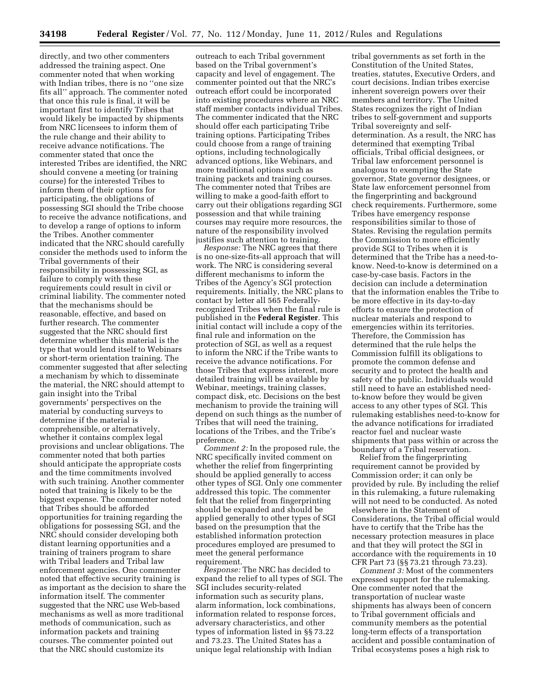directly, and two other commenters addressed the training aspect. One commenter noted that when working with Indian tribes, there is no ''one size fits all'' approach. The commenter noted that once this rule is final, it will be important first to identify Tribes that would likely be impacted by shipments from NRC licensees to inform them of the rule change and their ability to receive advance notifications. The commenter stated that once the interested Tribes are identified, the NRC should convene a meeting (or training course) for the interested Tribes to inform them of their options for participating, the obligations of possessing SGI should the Tribe choose to receive the advance notifications, and to develop a range of options to inform the Tribes. Another commenter indicated that the NRC should carefully consider the methods used to inform the Tribal governments of their responsibility in possessing SGI, as failure to comply with these requirements could result in civil or criminal liability. The commenter noted that the mechanisms should be reasonable, effective, and based on further research. The commenter suggested that the NRC should first determine whether this material is the type that would lend itself to Webinars or short-term orientation training. The commenter suggested that after selecting a mechanism by which to disseminate the material, the NRC should attempt to gain insight into the Tribal governments' perspectives on the material by conducting surveys to determine if the material is comprehensible, or alternatively, whether it contains complex legal provisions and unclear obligations. The commenter noted that both parties should anticipate the appropriate costs and the time commitments involved with such training. Another commenter noted that training is likely to be the biggest expense. The commenter noted that Tribes should be afforded opportunities for training regarding the obligations for possessing SGI, and the NRC should consider developing both distant learning opportunities and a training of trainers program to share with Tribal leaders and Tribal law enforcement agencies. One commenter noted that effective security training is as important as the decision to share the information itself. The commenter suggested that the NRC use Web-based mechanisms as well as more traditional methods of communication, such as information packets and training courses. The commenter pointed out that the NRC should customize its

outreach to each Tribal government based on the Tribal government's capacity and level of engagement. The commenter pointed out that the NRC's outreach effort could be incorporated into existing procedures where an NRC staff member contacts individual Tribes. The commenter indicated that the NRC should offer each participating Tribe training options. Participating Tribes could choose from a range of training options, including technologically advanced options, like Webinars, and more traditional options such as training packets and training courses. The commenter noted that Tribes are willing to make a good-faith effort to carry out their obligations regarding SGI possession and that while training courses may require more resources, the nature of the responsibility involved justifies such attention to training.

*Response:* The NRC agrees that there is no one-size-fits-all approach that will work. The NRC is considering several different mechanisms to inform the Tribes of the Agency's SGI protection requirements. Initially, the NRC plans to contact by letter all 565 Federallyrecognized Tribes when the final rule is published in the **Federal Register**. This initial contact will include a copy of the final rule and information on the protection of SGI, as well as a request to inform the NRC if the Tribe wants to receive the advance notifications. For those Tribes that express interest, more detailed training will be available by Webinar, meetings, training classes, compact disk, etc. Decisions on the best mechanism to provide the training will depend on such things as the number of Tribes that will need the training, locations of the Tribes, and the Tribe's preference.

*Comment 2:* In the proposed rule, the NRC specifically invited comment on whether the relief from fingerprinting should be applied generally to access other types of SGI. Only one commenter addressed this topic. The commenter felt that the relief from fingerprinting should be expanded and should be applied generally to other types of SGI based on the presumption that the established information protection procedures employed are presumed to meet the general performance requirement.

*Response:* The NRC has decided to expand the relief to all types of SGI. The SGI includes security-related information such as security plans, alarm information, lock combinations, information related to response forces, adversary characteristics, and other types of information listed in §§ 73.22 and 73.23. The United States has a unique legal relationship with Indian

tribal governments as set forth in the Constitution of the United States, treaties, statutes, Executive Orders, and court decisions. Indian tribes exercise inherent sovereign powers over their members and territory. The United States recognizes the right of Indian tribes to self-government and supports Tribal sovereignty and selfdetermination. As a result, the NRC has determined that exempting Tribal officials, Tribal official designees, or Tribal law enforcement personnel is analogous to exempting the State governor, State governor designees, or State law enforcement personnel from the fingerprinting and background check requirements. Furthermore, some Tribes have emergency response responsibilities similar to those of States. Revising the regulation permits the Commission to more efficiently provide SGI to Tribes when it is determined that the Tribe has a need-toknow. Need-to-know is determined on a case-by-case basis. Factors in the decision can include a determination that the information enables the Tribe to be more effective in its day-to-day efforts to ensure the protection of nuclear materials and respond to emergencies within its territories. Therefore, the Commission has determined that the rule helps the Commission fulfill its obligations to promote the common defense and security and to protect the health and safety of the public. Individuals would still need to have an established needto-know before they would be given access to any other types of SGI. This rulemaking establishes need-to-know for the advance notifications for irradiated reactor fuel and nuclear waste shipments that pass within or across the boundary of a Tribal reservation.

Relief from the fingerprinting requirement cannot be provided by Commission order; it can only be provided by rule. By including the relief in this rulemaking, a future rulemaking will not need to be conducted. As noted elsewhere in the Statement of Considerations, the Tribal official would have to certify that the Tribe has the necessary protection measures in place and that they will protect the SGI in accordance with the requirements in 10 CFR Part 73 (§§ 73.21 through 73.23).

*Comment 3:* Most of the commenters expressed support for the rulemaking. One commenter noted that the transportation of nuclear waste shipments has always been of concern to Tribal government officials and community members as the potential long-term effects of a transportation accident and possible contamination of Tribal ecosystems poses a high risk to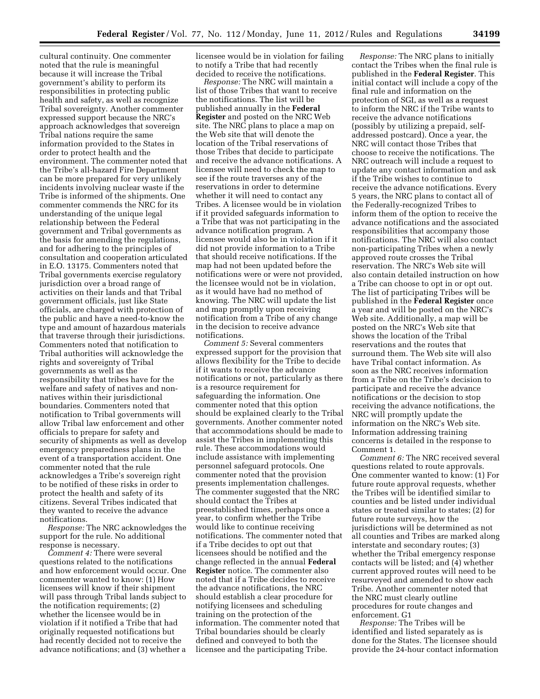cultural continuity. One commenter noted that the rule is meaningful because it will increase the Tribal government's ability to perform its responsibilities in protecting public health and safety, as well as recognize Tribal sovereignty. Another commenter expressed support because the NRC's approach acknowledges that sovereign Tribal nations require the same information provided to the States in order to protect health and the environment. The commenter noted that the Tribe's all-hazard Fire Department can be more prepared for very unlikely incidents involving nuclear waste if the Tribe is informed of the shipments. One commenter commends the NRC for its understanding of the unique legal relationship between the Federal government and Tribal governments as the basis for amending the regulations, and for adhering to the principles of consultation and cooperation articulated in E.O. 13175. Commenters noted that Tribal governments exercise regulatory jurisdiction over a broad range of activities on their lands and that Tribal government officials, just like State officials, are charged with protection of the public and have a need-to-know the type and amount of hazardous materials that traverse through their jurisdictions. Commenters noted that notification to Tribal authorities will acknowledge the rights and sovereignty of Tribal governments as well as the responsibility that tribes have for the welfare and safety of natives and nonnatives within their jurisdictional boundaries. Commenters noted that notification to Tribal governments will allow Tribal law enforcement and other officials to prepare for safety and security of shipments as well as develop emergency preparedness plans in the event of a transportation accident. One commenter noted that the rule acknowledges a Tribe's sovereign right to be notified of these risks in order to protect the health and safety of its citizens. Several Tribes indicated that they wanted to receive the advance notifications.

*Response:* The NRC acknowledges the support for the rule. No additional response is necessary.

*Comment 4:* There were several questions related to the notifications and how enforcement would occur. One commenter wanted to know: (1) How licensees will know if their shipment will pass through Tribal lands subject to the notification requirements; (2) whether the licensee would be in violation if it notified a Tribe that had originally requested notifications but had recently decided not to receive the advance notifications; and (3) whether a

licensee would be in violation for failing to notify a Tribe that had recently decided to receive the notifications.

*Response:* The NRC will maintain a list of those Tribes that want to receive the notifications. The list will be published annually in the **Federal Register** and posted on the NRC Web site. The NRC plans to place a map on the Web site that will denote the location of the Tribal reservations of those Tribes that decide to participate and receive the advance notifications. A licensee will need to check the map to see if the route traverses any of the reservations in order to determine whether it will need to contact any Tribes. A licensee would be in violation if it provided safeguards information to a Tribe that was not participating in the advance notification program. A licensee would also be in violation if it did not provide information to a Tribe that should receive notifications. If the map had not been updated before the notifications were or were not provided, the licensee would not be in violation, as it would have had no method of knowing. The NRC will update the list and map promptly upon receiving notification from a Tribe of any change in the decision to receive advance notifications.

*Comment 5:* Several commenters expressed support for the provision that allows flexibility for the Tribe to decide if it wants to receive the advance notifications or not, particularly as there is a resource requirement for safeguarding the information. One commenter noted that this option should be explained clearly to the Tribal governments. Another commenter noted that accommodations should be made to assist the Tribes in implementing this rule. These accommodations would include assistance with implementing personnel safeguard protocols. One commenter noted that the provision presents implementation challenges. The commenter suggested that the NRC should contact the Tribes at preestablished times, perhaps once a year, to confirm whether the Tribe would like to continue receiving notifications. The commenter noted that if a Tribe decides to opt out that licensees should be notified and the change reflected in the annual **Federal Register** notice. The commenter also noted that if a Tribe decides to receive the advance notifications, the NRC should establish a clear procedure for notifying licensees and scheduling training on the protection of the information. The commenter noted that Tribal boundaries should be clearly defined and conveyed to both the licensee and the participating Tribe.

*Response:* The NRC plans to initially contact the Tribes when the final rule is published in the **Federal Register**. This initial contact will include a copy of the final rule and information on the protection of SGI, as well as a request to inform the NRC if the Tribe wants to receive the advance notifications (possibly by utilizing a prepaid, selfaddressed postcard). Once a year, the NRC will contact those Tribes that choose to receive the notifications. The NRC outreach will include a request to update any contact information and ask if the Tribe wishes to continue to receive the advance notifications. Every 5 years, the NRC plans to contact all of the Federally-recognized Tribes to inform them of the option to receive the advance notifications and the associated responsibilities that accompany those notifications. The NRC will also contact non-participating Tribes when a newly approved route crosses the Tribal reservation. The NRC's Web site will also contain detailed instruction on how a Tribe can choose to opt in or opt out. The list of participating Tribes will be published in the **Federal Register** once a year and will be posted on the NRC's Web site. Additionally, a map will be posted on the NRC's Web site that shows the location of the Tribal reservations and the routes that surround them. The Web site will also have Tribal contact information. As soon as the NRC receives information from a Tribe on the Tribe's decision to participate and receive the advance notifications or the decision to stop receiving the advance notifications, the NRC will promptly update the information on the NRC's Web site. Information addressing training concerns is detailed in the response to Comment 1.

*Comment 6:* The NRC received several questions related to route approvals. One commenter wanted to know: (1) For future route approval requests, whether the Tribes will be identified similar to counties and be listed under individual states or treated similar to states; (2) for future route surveys, how the jurisdictions will be determined as not all counties and Tribes are marked along interstate and secondary routes; (3) whether the Tribal emergency response contacts will be listed; and (4) whether current approved routes will need to be resurveyed and amended to show each Tribe. Another commenter noted that the NRC must clearly outline procedures for route changes and enforcement. G1

*Response:* The Tribes will be identified and listed separately as is done for the States. The licensee should provide the 24-hour contact information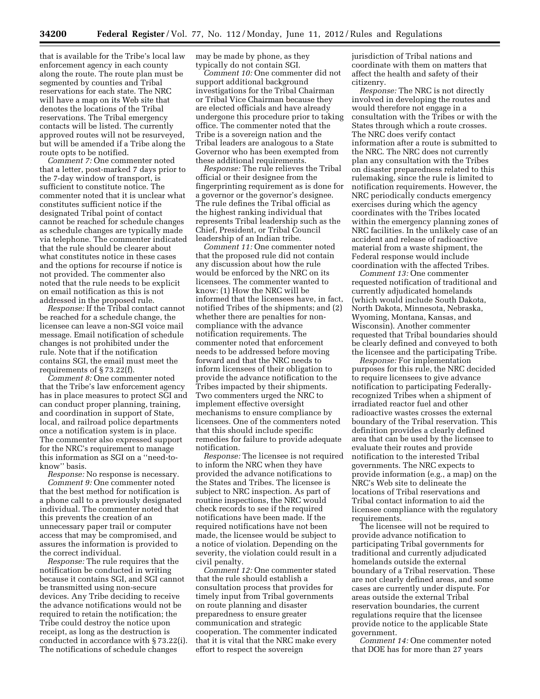that is available for the Tribe's local law enforcement agency in each county along the route. The route plan must be segmented by counties and Tribal reservations for each state. The NRC will have a map on its Web site that denotes the locations of the Tribal reservations. The Tribal emergency contacts will be listed. The currently approved routes will not be resurveyed, but will be amended if a Tribe along the route opts to be notified.

*Comment 7:* One commenter noted that a letter, post-marked 7 days prior to the 7-day window of transport, is sufficient to constitute notice. The commenter noted that it is unclear what constitutes sufficient notice if the designated Tribal point of contact cannot be reached for schedule changes as schedule changes are typically made via telephone. The commenter indicated that the rule should be clearer about what constitutes notice in these cases and the options for recourse if notice is not provided. The commenter also noted that the rule needs to be explicit on email notification as this is not addressed in the proposed rule.

*Response:* If the Tribal contact cannot be reached for a schedule change, the licensee can leave a non-SGI voice mail message. Email notification of schedule changes is not prohibited under the rule. Note that if the notification contains SGI, the email must meet the requirements of § 73.22(f).

*Comment 8:* One commenter noted that the Tribe's law enforcement agency has in place measures to protect SGI and can conduct proper planning, training, and coordination in support of State, local, and railroad police departments once a notification system is in place. The commenter also expressed support for the NRC's requirement to manage this information as SGI on a ''need-toknow'' basis.

*Response:* No response is necessary. *Comment 9:* One commenter noted that the best method for notification is a phone call to a previously designated individual. The commenter noted that this prevents the creation of an unnecessary paper trail or computer access that may be compromised, and assures the information is provided to the correct individual.

*Response:* The rule requires that the notification be conducted in writing because it contains SGI, and SGI cannot be transmitted using non-secure devices. Any Tribe deciding to receive the advance notifications would not be required to retain the notification; the Tribe could destroy the notice upon receipt, as long as the destruction is conducted in accordance with § 73.22(i). The notifications of schedule changes

may be made by phone, as they typically do not contain SGI.

*Comment 10:* One commenter did not support additional background investigations for the Tribal Chairman or Tribal Vice Chairman because they are elected officials and have already undergone this procedure prior to taking office. The commenter noted that the Tribe is a sovereign nation and the Tribal leaders are analogous to a State Governor who has been exempted from these additional requirements.

*Response:* The rule relieves the Tribal official or their designee from the fingerprinting requirement as is done for a governor or the governor's designee. The rule defines the Tribal official as the highest ranking individual that represents Tribal leadership such as the Chief, President, or Tribal Council leadership of an Indian tribe.

*Comment 11:* One commenter noted that the proposed rule did not contain any discussion about how the rule would be enforced by the NRC on its licensees. The commenter wanted to know: (1) How the NRC will be informed that the licensees have, in fact, notified Tribes of the shipments; and (2) whether there are penalties for noncompliance with the advance notification requirements. The commenter noted that enforcement needs to be addressed before moving forward and that the NRC needs to inform licensees of their obligation to provide the advance notification to the Tribes impacted by their shipments. Two commenters urged the NRC to implement effective oversight mechanisms to ensure compliance by licensees. One of the commenters noted that this should include specific remedies for failure to provide adequate notification.

*Response:* The licensee is not required to inform the NRC when they have provided the advance notifications to the States and Tribes. The licensee is subject to NRC inspection. As part of routine inspections, the NRC would check records to see if the required notifications have been made. If the required notifications have not been made, the licensee would be subject to a notice of violation. Depending on the severity, the violation could result in a civil penalty.

*Comment 12:* One commenter stated that the rule should establish a consultation process that provides for timely input from Tribal governments on route planning and disaster preparedness to ensure greater communication and strategic cooperation. The commenter indicated that it is vital that the NRC make every effort to respect the sovereign

jurisdiction of Tribal nations and coordinate with them on matters that affect the health and safety of their citizenry.

*Response:* The NRC is not directly involved in developing the routes and would therefore not engage in a consultation with the Tribes or with the States through which a route crosses. The NRC does verify contact information after a route is submitted to the NRC. The NRC does not currently plan any consultation with the Tribes on disaster preparedness related to this rulemaking, since the rule is limited to notification requirements. However, the NRC periodically conducts emergency exercises during which the agency coordinates with the Tribes located within the emergency planning zones of NRC facilities. In the unlikely case of an accident and release of radioactive material from a waste shipment, the Federal response would include coordination with the affected Tribes.

*Comment 13:* One commenter requested notification of traditional and currently adjudicated homelands (which would include South Dakota, North Dakota, Minnesota, Nebraska, Wyoming, Montana, Kansas, and Wisconsin). Another commenter requested that Tribal boundaries should be clearly defined and conveyed to both the licensee and the participating Tribe.

*Response:* For implementation purposes for this rule, the NRC decided to require licensees to give advance notification to participating Federallyrecognized Tribes when a shipment of irradiated reactor fuel and other radioactive wastes crosses the external boundary of the Tribal reservation. This definition provides a clearly defined area that can be used by the licensee to evaluate their routes and provide notification to the interested Tribal governments. The NRC expects to provide information (e.g., a map) on the NRC's Web site to delineate the locations of Tribal reservations and Tribal contact information to aid the licensee compliance with the regulatory requirements.

The licensee will not be required to provide advance notification to participating Tribal governments for traditional and currently adjudicated homelands outside the external boundary of a Tribal reservation. These are not clearly defined areas, and some cases are currently under dispute. For areas outside the external Tribal reservation boundaries, the current regulations require that the licensee provide notice to the applicable State government.

*Comment 14:* One commenter noted that DOE has for more than 27 years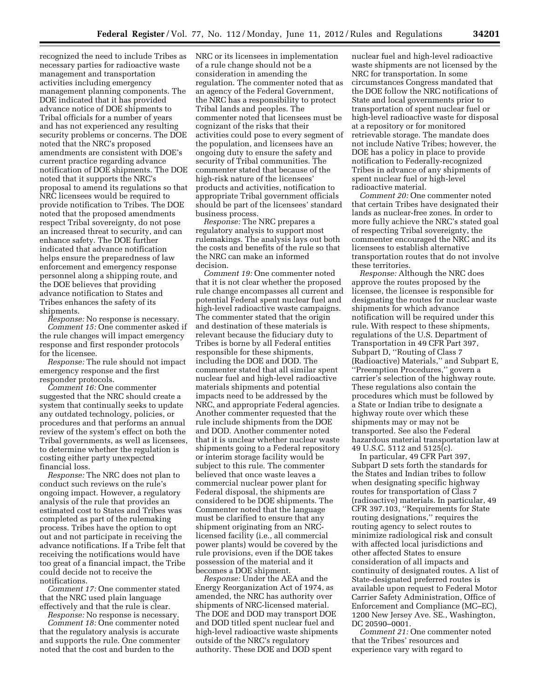recognized the need to include Tribes as necessary parties for radioactive waste management and transportation activities including emergency management planning components. The DOE indicated that it has provided advance notice of DOE shipments to Tribal officials for a number of years and has not experienced any resulting security problems or concerns. The DOE noted that the NRC's proposed amendments are consistent with DOE's current practice regarding advance notification of DOE shipments. The DOE noted that it supports the NRC's proposal to amend its regulations so that NRC licensees would be required to provide notification to Tribes. The DOE noted that the proposed amendments respect Tribal sovereignty, do not pose an increased threat to security, and can enhance safety. The DOE further indicated that advance notification helps ensure the preparedness of law enforcement and emergency response personnel along a shipping route, and the DOE believes that providing advance notification to States and Tribes enhances the safety of its shipments.

*Response:* No response is necessary. *Comment 15:* One commenter asked if the rule changes will impact emergency response and first responder protocols for the licensee.

*Response:* The rule should not impact emergency response and the first responder protocols.

*Comment 16:* One commenter suggested that the NRC should create a system that continually seeks to update any outdated technology, policies, or procedures and that performs an annual review of the system's effect on both the Tribal governments, as well as licensees, to determine whether the regulation is costing either party unexpected financial loss.

*Response:* The NRC does not plan to conduct such reviews on the rule's ongoing impact. However, a regulatory analysis of the rule that provides an estimated cost to States and Tribes was completed as part of the rulemaking process. Tribes have the option to opt out and not participate in receiving the advance notifications. If a Tribe felt that receiving the notifications would have too great of a financial impact, the Tribe could decide not to receive the notifications.

*Comment 17:* One commenter stated that the NRC used plain language effectively and that the rule is clear.

*Response:* No response is necessary.

*Comment 18:* One commenter noted that the regulatory analysis is accurate and supports the rule. One commenter noted that the cost and burden to the

NRC or its licensees in implementation of a rule change should not be a consideration in amending the regulation. The commenter noted that as an agency of the Federal Government, the NRC has a responsibility to protect Tribal lands and peoples. The commenter noted that licensees must be cognizant of the risks that their activities could pose to every segment of the population, and licensees have an ongoing duty to ensure the safety and security of Tribal communities. The commenter stated that because of the high-risk nature of the licensees' products and activities, notification to appropriate Tribal government officials should be part of the licensees' standard business process.

*Response:* The NRC prepares a regulatory analysis to support most rulemakings. The analysis lays out both the costs and benefits of the rule so that the NRC can make an informed decision.

*Comment 19:* One commenter noted that it is not clear whether the proposed rule change encompasses all current and potential Federal spent nuclear fuel and high-level radioactive waste campaigns. The commenter stated that the origin and destination of these materials is relevant because the fiduciary duty to Tribes is borne by all Federal entities responsible for these shipments, including the DOE and DOD. The commenter stated that all similar spent nuclear fuel and high-level radioactive materials shipments and potential impacts need to be addressed by the NRC, and appropriate Federal agencies. Another commenter requested that the rule include shipments from the DOE and DOD. Another commenter noted that it is unclear whether nuclear waste shipments going to a Federal repository or interim storage facility would be subject to this rule. The commenter believed that once waste leaves a commercial nuclear power plant for Federal disposal, the shipments are considered to be DOE shipments. The Commenter noted that the language must be clarified to ensure that any shipment originating from an NRClicensed facility (i.e., all commercial power plants) would be covered by the rule provisions, even if the DOE takes possession of the material and it becomes a DOE shipment.

*Response:* Under the AEA and the Energy Reorganization Act of 1974, as amended, the NRC has authority over shipments of NRC-licensed material. The DOE and DOD may transport DOE and DOD titled spent nuclear fuel and high-level radioactive waste shipments outside of the NRC's regulatory authority. These DOE and DOD spent

nuclear fuel and high-level radioactive waste shipments are not licensed by the NRC for transportation. In some circumstances Congress mandated that the DOE follow the NRC notifications of State and local governments prior to transportation of spent nuclear fuel or high-level radioactive waste for disposal at a repository or for monitored retrievable storage. The mandate does not include Native Tribes; however, the DOE has a policy in place to provide notification to Federally-recognized Tribes in advance of any shipments of spent nuclear fuel or high-level radioactive material.

*Comment 20:* One commenter noted that certain Tribes have designated their lands as nuclear-free zones. In order to more fully achieve the NRC's stated goal of respecting Tribal sovereignty, the commenter encouraged the NRC and its licensees to establish alternative transportation routes that do not involve these territories.

*Response:* Although the NRC does approve the routes proposed by the licensee, the licensee is responsible for designating the routes for nuclear waste shipments for which advance notification will be required under this rule. With respect to these shipments, regulations of the U.S. Department of Transportation in 49 CFR Part 397, Subpart D, ''Routing of Class 7 (Radioactive) Materials,'' and Subpart E, ''Preemption Procedures,'' govern a carrier's selection of the highway route. These regulations also contain the procedures which must be followed by a State or Indian tribe to designate a highway route over which these shipments may or may not be transported. See also the Federal hazardous material transportation law at 49 U.S.C. 5112 and 5125(c).

In particular, 49 CFR Part 397, Subpart D sets forth the standards for the States and Indian tribes to follow when designating specific highway routes for transportation of Class 7 (radioactive) materials. In particular, 49 CFR 397.103, ''Requirements for State routing designations,'' requires the routing agency to select routes to minimize radiological risk and consult with affected local jurisdictions and other affected States to ensure consideration of all impacts and continuity of designated routes. A list of State-designated preferred routes is available upon request to Federal Motor Carrier Safety Administration, Office of Enforcement and Compliance (MC–EC), 1200 New Jersey Ave. SE., Washington, DC 20590–0001.

*Comment 21:* One commenter noted that the Tribes' resources and experience vary with regard to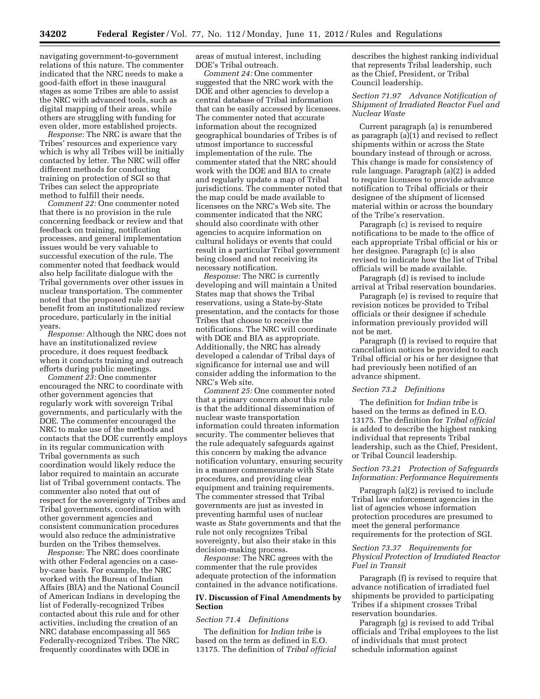navigating government-to-government relations of this nature. The commenter indicated that the NRC needs to make a good-faith effort in these inaugural stages as some Tribes are able to assist the NRC with advanced tools, such as digital mapping of their areas, while others are struggling with funding for even older, more established projects.

*Response:* The NRC is aware that the Tribes' resources and experience vary which is why all Tribes will be initially contacted by letter. The NRC will offer different methods for conducting training on protection of SGI so that Tribes can select the appropriate method to fulfill their needs.

*Comment 22:* One commenter noted that there is no provision in the rule concerning feedback or review and that feedback on training, notification processes, and general implementation issues would be very valuable to successful execution of the rule. The commenter noted that feedback would also help facilitate dialogue with the Tribal governments over other issues in nuclear transportation. The commenter noted that the proposed rule may benefit from an institutionalized review procedure, particularly in the initial years.

*Response:* Although the NRC does not have an institutionalized review procedure, it does request feedback when it conducts training and outreach efforts during public meetings.

*Comment 23:* One commenter encouraged the NRC to coordinate with other government agencies that regularly work with sovereign Tribal governments, and particularly with the DOE. The commenter encouraged the NRC to make use of the methods and contacts that the DOE currently employs in its regular communication with Tribal governments as such coordination would likely reduce the labor required to maintain an accurate list of Tribal government contacts. The commenter also noted that out of respect for the sovereignty of Tribes and Tribal governments, coordination with other government agencies and consistent communication procedures would also reduce the administrative burden on the Tribes themselves.

*Response:* The NRC does coordinate with other Federal agencies on a caseby-case basis. For example, the NRC worked with the Bureau of Indian Affairs (BIA) and the National Council of American Indians in developing the list of Federally-recognized Tribes contacted about this rule and for other activities, including the creation of an NRC database encompassing all 565 Federally-recognized Tribes. The NRC frequently coordinates with DOE in

areas of mutual interest, including DOE's Tribal outreach.

*Comment 24:* One commenter suggested that the NRC work with the DOE and other agencies to develop a central database of Tribal information that can be easily accessed by licensees. The commenter noted that accurate information about the recognized geographical boundaries of Tribes is of utmost importance to successful implementation of the rule. The commenter stated that the NRC should work with the DOE and BIA to create and regularly update a map of Tribal jurisdictions. The commenter noted that the map could be made available to licensees on the NRC's Web site. The commenter indicated that the NRC should also coordinate with other agencies to acquire information on cultural holidays or events that could result in a particular Tribal government being closed and not receiving its necessary notification.

*Response:* The NRC is currently developing and will maintain a United States map that shows the Tribal reservations, using a State-by-State presentation, and the contacts for those Tribes that choose to receive the notifications. The NRC will coordinate with DOE and BIA as appropriate. Additionally, the NRC has already developed a calendar of Tribal days of significance for internal use and will consider adding the information to the NRC's Web site.

*Comment 25:* One commenter noted that a primary concern about this rule is that the additional dissemination of nuclear waste transportation information could threaten information security. The commenter believes that the rule adequately safeguards against this concern by making the advance notification voluntary, ensuring security in a manner commensurate with State procedures, and providing clear equipment and training requirements. The commenter stressed that Tribal governments are just as invested in preventing harmful uses of nuclear waste as State governments and that the rule not only recognizes Tribal sovereignty, but also their stake in this decision-making process.

*Response:* The NRC agrees with the commenter that the rule provides adequate protection of the information contained in the advance notifications.

## **IV. Discussion of Final Amendments by Section**

## *Section 71.4 Definitions*

The definition for *Indian tribe* is based on the term as defined in E.O. 13175. The definition of *Tribal official* 

describes the highest ranking individual that represents Tribal leadership, such as the Chief, President, or Tribal Council leadership.

# *Section 71.97 Advance Notification of Shipment of Irradiated Reactor Fuel and Nuclear Waste*

Current paragraph (a) is renumbered as paragraph  $(a)(1)$  and revised to reflect shipments within or across the State boundary instead of through or across. This change is made for consistency of rule language. Paragraph (a)(2) is added to require licensees to provide advance notification to Tribal officials or their designee of the shipment of licensed material within or across the boundary of the Tribe's reservation.

Paragraph (c) is revised to require notifications to be made to the office of each appropriate Tribal official or his or her designee. Paragraph (c) is also revised to indicate how the list of Tribal officials will be made available.

Paragraph (d) is revised to include arrival at Tribal reservation boundaries.

Paragraph (e) is revised to require that revision notices be provided to Tribal officials or their designee if schedule information previously provided will not be met.

Paragraph (f) is revised to require that cancellation notices be provided to each Tribal official or his or her designee that had previously been notified of an advance shipment.

#### *Section 73.2 Definitions*

The definition for *Indian tribe* is based on the terms as defined in E.O. 13175. The definition for *Tribal official*  is added to describe the highest ranking individual that represents Tribal leadership, such as the Chief, President, or Tribal Council leadership.

## *Section 73.21 Protection of Safeguards Information: Performance Requirements*

Paragraph (a)(2) is revised to include Tribal law enforcement agencies in the list of agencies whose information protection procedures are presumed to meet the general performance requirements for the protection of SGI.

## *Section 73.37 Requirements for Physical Protection of Irradiated Reactor Fuel in Transit*

Paragraph (f) is revised to require that advance notification of irradiated fuel shipments be provided to participating Tribes if a shipment crosses Tribal reservation boundaries.

Paragraph (g) is revised to add Tribal officials and Tribal employees to the list of individuals that must protect schedule information against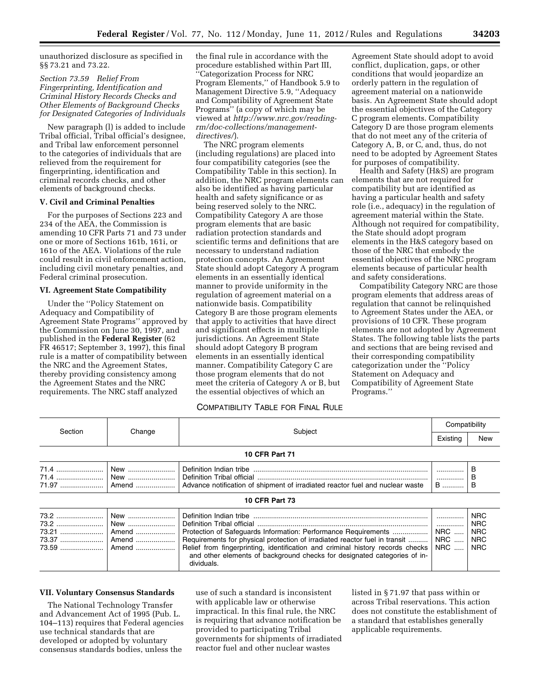unauthorized disclosure as specified in §§ 73.21 and 73.22.

*Section 73.59 Relief From Fingerprinting, Identification and Criminal History Records Checks and Other Elements of Background Checks for Designated Categories of Individuals* 

New paragraph (l) is added to include Tribal official, Tribal official's designee, and Tribal law enforcement personnel to the categories of individuals that are relieved from the requirement for fingerprinting, identification and criminal records checks, and other elements of background checks.

## **V. Civil and Criminal Penalties**

For the purposes of Sections 223 and 234 of the AEA, the Commission is amending 10 CFR Parts 71 and 73 under one or more of Sections 161b, 161i, or 161o of the AEA. Violations of the rule could result in civil enforcement action, including civil monetary penalties, and Federal criminal prosecution.

## **VI. Agreement State Compatibility**

Under the ''Policy Statement on Adequacy and Compatibility of Agreement State Programs'' approved by the Commission on June 30, 1997, and published in the **Federal Register** (62 FR 46517; September 3, 1997), this final rule is a matter of compatibility between the NRC and the Agreement States, thereby providing consistency among the Agreement States and the NRC requirements. The NRC staff analyzed

the final rule in accordance with the procedure established within Part III, ''Categorization Process for NRC Program Elements,'' of Handbook 5.9 to Management Directive 5.9, ''Adequacy and Compatibility of Agreement State Programs'' (a copy of which may be viewed at *[http://www.nrc.gov/reading](http://www.nrc.gov/reading-rm/doc-collections/management-directives/)[rm/doc-collections/management](http://www.nrc.gov/reading-rm/doc-collections/management-directives/)[directives/](http://www.nrc.gov/reading-rm/doc-collections/management-directives/)*).

The NRC program elements (including regulations) are placed into four compatibility categories (see the Compatibility Table in this section). In addition, the NRC program elements can also be identified as having particular health and safety significance or as being reserved solely to the NRC. Compatibility Category A are those program elements that are basic radiation protection standards and scientific terms and definitions that are necessary to understand radiation protection concepts. An Agreement State should adopt Category A program elements in an essentially identical manner to provide uniformity in the regulation of agreement material on a nationwide basis. Compatibility Category B are those program elements that apply to activities that have direct and significant effects in multiple jurisdictions. An Agreement State should adopt Category B program elements in an essentially identical manner. Compatibility Category C are those program elements that do not meet the criteria of Category A or B, but the essential objectives of which an

Agreement State should adopt to avoid conflict, duplication, gaps, or other conditions that would jeopardize an orderly pattern in the regulation of agreement material on a nationwide basis. An Agreement State should adopt the essential objectives of the Category C program elements. Compatibility Category D are those program elements that do not meet any of the criteria of Category A, B, or C, and, thus, do not need to be adopted by Agreement States for purposes of compatibility.

Health and Safety (H&S) are program elements that are not required for compatibility but are identified as having a particular health and safety role (i.e., adequacy) in the regulation of agreement material within the State. Although not required for compatibility, the State should adopt program elements in the H&S category based on those of the NRC that embody the essential objectives of the NRC program elements because of particular health and safety considerations.

Compatibility Category NRC are those program elements that address areas of regulation that cannot be relinquished to Agreement States under the AEA, or provisions of 10 CFR. These program elements are not adopted by Agreement States. The following table lists the parts and sections that are being revised and their corresponding compatibility categorization under the ''Policy Statement on Adequacy and Compatibility of Agreement State Programs.''

# COMPATIBILITY TABLE FOR FINAL RULE

| Section                | Change                                | Subject                                                                                                                                                                                                                                                                                                                  | Compatibility                              |                                                                    |
|------------------------|---------------------------------------|--------------------------------------------------------------------------------------------------------------------------------------------------------------------------------------------------------------------------------------------------------------------------------------------------------------------------|--------------------------------------------|--------------------------------------------------------------------|
|                        |                                       |                                                                                                                                                                                                                                                                                                                          | Existing                                   | <b>New</b>                                                         |
| <b>10 CFR Part 71</b>  |                                       |                                                                                                                                                                                                                                                                                                                          |                                            |                                                                    |
| 71.4                   | New<br>New<br>Amend                   | Definition Indian tribe<br>Definition Tribal official<br>Advance notification of shipment of irradiated reactor fuel and nuclear waste                                                                                                                                                                                   | <br>B                                      | в<br>в<br>в                                                        |
| <b>10 CFR Part 73</b>  |                                       |                                                                                                                                                                                                                                                                                                                          |                                            |                                                                    |
| 73.2<br>73.21<br>73.37 | New<br>New<br>Amend<br>Amend<br>Amend | Protection of Safequards Information: Performance Requirements<br>Requirements for physical protection of irradiated reactor fuel in transit<br>Relief from fingerprinting, identification and criminal history records checks<br>and other elements of background checks for designated categories of in-<br>dividuals. | <br><b>NRC</b><br><b>NRC</b><br><b>NRC</b> | <b>NRC</b><br><b>NRC</b><br><b>NRC</b><br><b>NRC</b><br><b>NRC</b> |

#### **VII. Voluntary Consensus Standards**

The National Technology Transfer and Advancement Act of 1995 (Pub. L. 104–113) requires that Federal agencies use technical standards that are developed or adopted by voluntary consensus standards bodies, unless the

use of such a standard is inconsistent with applicable law or otherwise impractical. In this final rule, the NRC is requiring that advance notification be provided to participating Tribal governments for shipments of irradiated reactor fuel and other nuclear wastes

listed in § 71.97 that pass within or across Tribal reservations. This action does not constitute the establishment of a standard that establishes generally applicable requirements.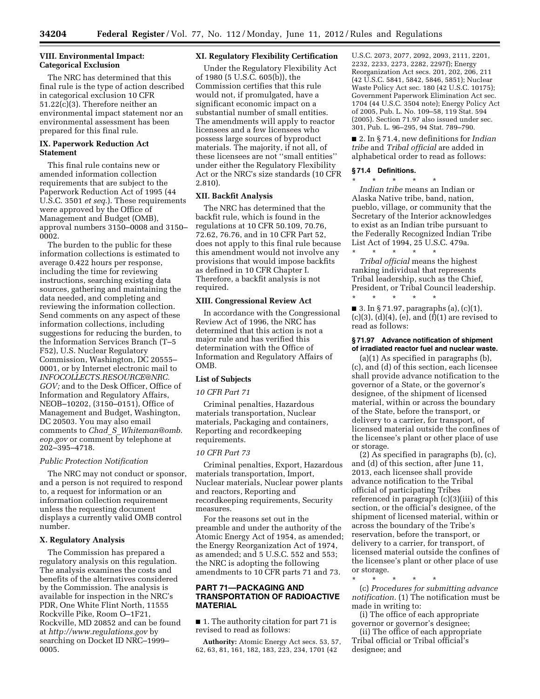# **VIII. Environmental Impact: Categorical Exclusion**

The NRC has determined that this final rule is the type of action described in categorical exclusion 10 CFR 51.22(c)(3). Therefore neither an environmental impact statement nor an environmental assessment has been prepared for this final rule.

# **IX. Paperwork Reduction Act Statement**

This final rule contains new or amended information collection requirements that are subject to the Paperwork Reduction Act of 1995 (44 U.S.C. 3501 *et seq*.). These requirements were approved by the Office of Management and Budget (OMB), approval numbers 3150–0008 and 3150– 0002.

The burden to the public for these information collections is estimated to average 0.422 hours per response, including the time for reviewing instructions, searching existing data sources, gathering and maintaining the data needed, and completing and reviewing the information collection. Send comments on any aspect of these information collections, including suggestions for reducing the burden, to the Information Services Branch (T–5 F52), U.S. Nuclear Regulatory Commission, Washington, DC 20555– 0001, or by Internet electronic mail to *[INFOCOLLECTS.RESOURCE@NRC.](mailto:INFOCOLLECTS.RESOURCE@NRC.GOV) [GOV;](mailto:INFOCOLLECTS.RESOURCE@NRC.GOV)* and to the Desk Officer, Office of Information and Regulatory Affairs, NEOB–10202, (3150–0151), Office of Management and Budget, Washington, DC 20503. You may also email comments to *Chad*\_*S*\_*[Whiteman@omb.](mailto:Chad_S_Whiteman@omb.eop.gov) [eop.gov](mailto:Chad_S_Whiteman@omb.eop.gov)* or comment by telephone at 202–395–4718.

## *Public Protection Notification*

The NRC may not conduct or sponsor, and a person is not required to respond to, a request for information or an information collection requirement unless the requesting document displays a currently valid OMB control number.

# **X. Regulatory Analysis**

The Commission has prepared a regulatory analysis on this regulation. The analysis examines the costs and benefits of the alternatives considered by the Commission. The analysis is available for inspection in the NRC's PDR, One White Flint North, 11555 Rockville Pike, Room O–1F21, Rockville, MD 20852 and can be found at *<http://www.regulations.gov>* by searching on Docket ID NRC–1999– 0005.

# **XI. Regulatory Flexibility Certification**

Under the Regulatory Flexibility Act of 1980 (5 U.S.C. 605(b)), the Commission certifies that this rule would not, if promulgated, have a significant economic impact on a substantial number of small entities. The amendments will apply to reactor licensees and a few licensees who possess large sources of byproduct materials. The majority, if not all, of these licensees are not ''small entities'' under either the Regulatory Flexibility Act or the NRC's size standards (10 CFR 2.810).

#### **XII. Backfit Analysis**

The NRC has determined that the backfit rule, which is found in the regulations at 10 CFR 50.109, 70.76, 72.62, 76.76, and in 10 CFR Part 52, does not apply to this final rule because this amendment would not involve any provisions that would impose backfits as defined in 10 CFR Chapter I. Therefore, a backfit analysis is not required.

#### **XIII. Congressional Review Act**

In accordance with the Congressional Review Act of 1996, the NRC has determined that this action is not a major rule and has verified this determination with the Office of Information and Regulatory Affairs of OMB.

#### **List of Subjects**

#### *10 CFR Part 71*

Criminal penalties, Hazardous materials transportation, Nuclear materials, Packaging and containers, Reporting and recordkeeping requirements.

#### *10 CFR Part 73*

Criminal penalties, Export, Hazardous materials transportation, Import, Nuclear materials, Nuclear power plants and reactors, Reporting and recordkeeping requirements, Security measures.

For the reasons set out in the preamble and under the authority of the Atomic Energy Act of 1954, as amended; the Energy Reorganization Act of 1974, as amended; and 5 U.S.C. 552 and 553; the NRC is adopting the following amendments to 10 CFR parts 71 and 73.

# **PART 71—PACKAGING AND TRANSPORTATION OF RADIOACTIVE MATERIAL**

■ 1. The authority citation for part 71 is revised to read as follows:

**Authority:** Atomic Energy Act secs. 53, 57, 62, 63, 81, 161, 182, 183, 223, 234, 1701 (42

U.S.C. 2073, 2077, 2092, 2093, 2111, 2201, 2232, 2233, 2273, 2282, 2297f); Energy Reorganization Act secs. 201, 202, 206, 211 (42 U.S.C. 5841, 5842, 5846, 5851); Nuclear Waste Policy Act sec. 180 (42 U.S.C. 10175); Government Paperwork Elimination Act sec. 1704 (44 U.S.C. 3504 note); Energy Policy Act of 2005, Pub. L. No. 109–58, 119 Stat. 594 (2005). Section 71.97 also issued under sec. 301, Pub. L. 96–295, 94 Stat. 789–790.

■ 2. In § 71.4, new definitions for *Indian tribe* and *Tribal official* are added in alphabetical order to read as follows:

#### **§ 71.4 Definitions.**

\* \* \* \* \* *Indian tribe* means an Indian or Alaska Native tribe, band, nation, pueblo, village, or community that the Secretary of the Interior acknowledges to exist as an Indian tribe pursuant to the Federally Recognized Indian Tribe List Act of 1994, 25 U.S.C. 479a.

\* \* \* \* \* *Tribal official* means the highest ranking individual that represents Tribal leadership, such as the Chief, President, or Tribal Council leadership. \* \* \* \* \*

■ 3. In § 71.97, paragraphs (a), (c)(1),  $(c)(3)$ ,  $(d)(4)$ ,  $(e)$ , and  $(f)(1)$  are revised to read as follows:

## **§ 71.97 Advance notification of shipment of irradiated reactor fuel and nuclear waste.**

(a)(1) As specified in paragraphs (b), (c), and (d) of this section, each licensee shall provide advance notification to the governor of a State, or the governor's designee, of the shipment of licensed material, within or across the boundary of the State, before the transport, or delivery to a carrier, for transport, of licensed material outside the confines of the licensee's plant or other place of use or storage.

(2) As specified in paragraphs (b), (c), and (d) of this section, after June 11, 2013, each licensee shall provide advance notification to the Tribal official of participating Tribes referenced in paragraph (c)(3)(iii) of this section, or the official's designee, of the shipment of licensed material, within or across the boundary of the Tribe's reservation, before the transport, or delivery to a carrier, for transport, of licensed material outside the confines of the licensee's plant or other place of use or storage.

\* \* \* \* \* (c) *Procedures for submitting advance notification.* (1) The notification must be made in writing to:

(i) The office of each appropriate governor or governor's designee;

(ii) The office of each appropriate Tribal official or Tribal official's designee; and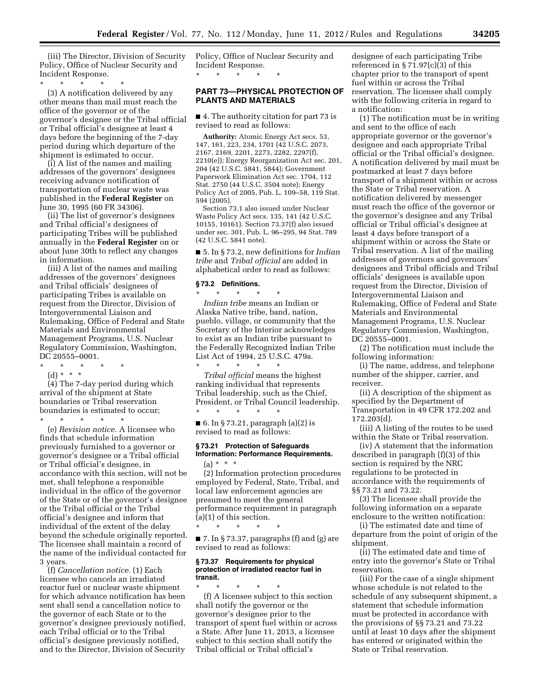(iii) The Director, Division of Security Policy, Office of Nuclear Security and Incident Response.

\* \* \* \* \*

(3) A notification delivered by any other means than mail must reach the office of the governor or of the governor's designee or the Tribal official or Tribal official's designee at least 4 days before the beginning of the 7-day period during which departure of the shipment is estimated to occur.

(i) A list of the names and mailing addresses of the governors' designees receiving advance notification of transportation of nuclear waste was published in the **Federal Register** on June 30, 1995 (60 FR 34306).

(ii) The list of governor's designees and Tribal official's designees of participating Tribes will be published annually in the **Federal Register** on or about June 30th to reflect any changes in information.

(iii) A list of the names and mailing addresses of the governors' designees and Tribal officials' designees of participating Tribes is available on request from the Director, Division of Intergovernmental Liaison and Rulemaking, Office of Federal and State Materials and Environmental Management Programs, U.S. Nuclear Regulatory Commission, Washington, DC 20555–0001.

\* \* \* \* \* (d) \* \* \*

(4) The 7-day period during which arrival of the shipment at State boundaries or Tribal reservation boundaries is estimated to occur;

\* \* \* \* \* (e) *Revision notice.* A licensee who finds that schedule information previously furnished to a governor or governor's designee or a Tribal official or Tribal official's designee, in accordance with this section, will not be met, shall telephone a responsible individual in the office of the governor of the State or of the governor's designee or the Tribal official or the Tribal official's designee and inform that individual of the extent of the delay beyond the schedule originally reported. The licensee shall maintain a record of the name of the individual contacted for 3 years.

(f) *Cancellation notice.* (1) Each licensee who cancels an irradiated reactor fuel or nuclear waste shipment for which advance notification has been sent shall send a cancellation notice to the governor of each State or to the governor's designee previously notified, each Tribal official or to the Tribal official's designee previously notified, and to the Director, Division of Security

Policy, Office of Nuclear Security and Incident Response. \* \* \* \* \*

# **PART 73—PHYSICAL PROTECTION OF PLANTS AND MATERIALS**

■ 4. The authority citation for part 73 is revised to read as follows:

**Authority:** Atomic Energy Act secs. 53, 147, 161, 223, 234, 1701 (42 U.S.C. 2073, 2167, 2169, 2201, 2273, 2282, 2297(f), 2210(e)); Energy Reorganization Act sec. 201, 204 (42 U.S.C. 5841, 5844); Government Paperwork Elimination Act sec. 1704, 112 Stat. 2750 (44 U.S.C. 3504 note); Energy Policy Act of 2005, Pub. L. 109–58, 119 Stat. 594 (2005).

Section 73.1 also issued under Nuclear Waste Policy Act secs. 135, 141 (42 U.S.C. 10155, 10161). Section 73.37(f) also issued under sec. 301, Pub. L. 96–295, 94 Stat. 789 (42 U.S.C. 5841 note).

■ 5. In § 73.2, new definitions for *Indian tribe* and *Tribal official* are added in alphabetical order to read as follows:

#### **§ 73.2 Definitions.**

\* \* \* \* \* *Indian tribe* means an Indian or Alaska Native tribe, band, nation, pueblo, village, or community that the Secretary of the Interior acknowledges to exist as an Indian tribe pursuant to the Federally Recognized Indian Tribe List Act of 1994, 25 U.S.C. 479a.

\* \* \* \* \* *Tribal official* means the highest ranking individual that represents Tribal leadership, such as the Chief, President, or Tribal Council leadership.

■ 6. In § 73.21, paragraph  $(a)(2)$  is revised to read as follows:

\* \* \* \* \*

\* \* \* \* \*

# **§ 73.21 Protection of Safeguards Information: Performance Requirements.**   $(a) * * * *$

(2) Information protection procedures employed by Federal, State, Tribal, and local law enforcement agencies are presumed to meet the general performance requirement in paragraph (a)(1) of this section.

 $\blacksquare$  7. In § 73.37, paragraphs (f) and (g) are revised to read as follows:

#### **§ 73.37 Requirements for physical protection of irradiated reactor fuel in transit.**

\* \* \* \* \* (f) A licensee subject to this section shall notify the governor or the governor's designee prior to the transport of spent fuel within or across a State. After June 11, 2013, a licensee subject to this section shall notify the Tribal official or Tribal official's

designee of each participating Tribe referenced in  $\S 71.97(c)(3)$  of this chapter prior to the transport of spent fuel within or across the Tribal reservation. The licensee shall comply with the following criteria in regard to a notification:

(1) The notification must be in writing and sent to the office of each appropriate governor or the governor's designee and each appropriate Tribal official or the Tribal official's designee. A notification delivered by mail must be postmarked at least 7 days before transport of a shipment within or across the State or Tribal reservation. A notification delivered by messenger must reach the office of the governor or the governor's designee and any Tribal official or Tribal official's designee at least 4 days before transport of a shipment within or across the State or Tribal reservation. A list of the mailing addresses of governors and governors' designees and Tribal officials and Tribal officials' designees is available upon request from the Director, Division of Intergovernmental Liaison and Rulemaking, Office of Federal and State Materials and Environmental Management Programs, U.S. Nuclear Regulatory Commission, Washington, DC 20555–0001.

(2) The notification must include the following information:

(i) The name, address, and telephone number of the shipper, carrier, and receiver.

(ii) A description of the shipment as specified by the Department of Transportation in 49 CFR 172.202 and 172.203(d).

(iii) A listing of the routes to be used within the State or Tribal reservation.

(iv) A statement that the information described in paragraph (f)(3) of this section is required by the NRC regulations to be protected in accordance with the requirements of §§ 73.21 and 73.22.

(3) The licensee shall provide the following information on a separate enclosure to the written notification:

(i) The estimated date and time of departure from the point of origin of the shipment.

(ii) The estimated date and time of entry into the governor's State or Tribal reservation.

(iii) For the case of a single shipment whose schedule is not related to the schedule of any subsequent shipment, a statement that schedule information must be protected in accordance with the provisions of §§ 73.21 and 73.22 until at least 10 days after the shipment has entered or originated within the State or Tribal reservation.